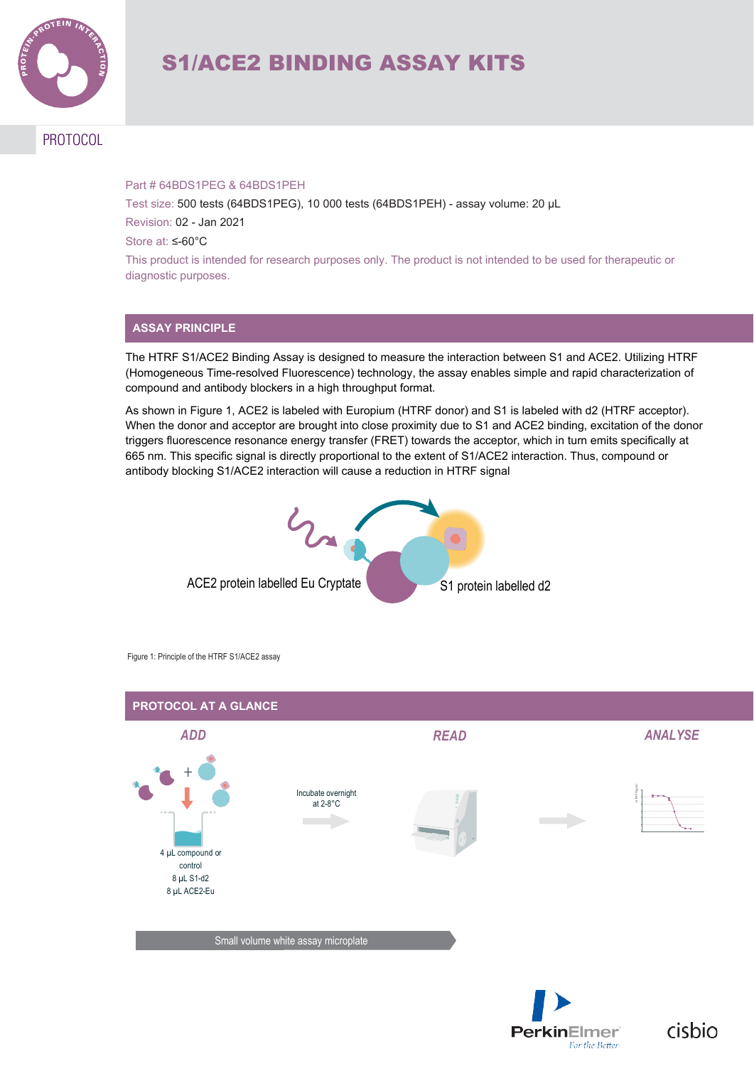

# S1/ACE2 BINDING ASSAY KITS

## PROTOCOL

#### Part # 64BDS1PEG & 64BDS1PEH

Test size: 500 tests (64BDS1PEG), 10 000 tests (64BDS1PEH) - assay volume: 20 µL Revision: 02 - Jan 2021

Store at: ≤-60°C

This product is intended for research purposes only. The product is not intended to be used for therapeutic or diagnostic purposes.

#### **ASSAY PRINCIPLE**

The HTRF S1/ACE2 Binding Assay is designed to measure the interaction between S1 and ACE2. Utilizing HTRF (Homogeneous Time-resolved Fluorescence) technology, the assay enables simple and rapid characterization of compound and antibody blockers in a high throughput format.

As shown in Figure 1, ACE2 is labeled with Europium (HTRF donor) and S1 is labeled with d2 (HTRF acceptor). When the donor and acceptor are brought into close proximity due to S1 and ACE2 binding, excitation of the donor triggers fluorescence resonance energy transfer (FRET) towards the acceptor, which in turn emits specifically at 665 nm. This specific signal is directly proportional to the extent of S1/ACE2 interaction. Thus, compound or antibody blocking S1/ACE2 interaction will cause a reduction in HTRF signal



Figure 1: Principle of the HTRF S1/ACE2 assay



cisbio

**PerkinElmer**®

For the Better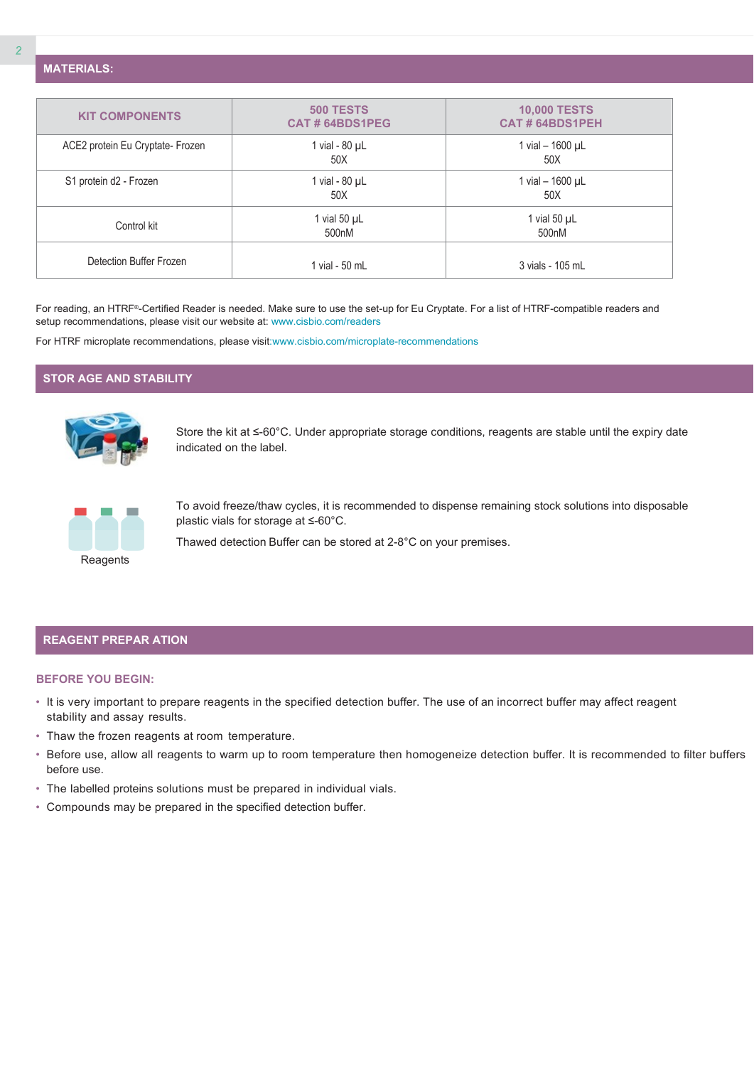**MATERIALS:**

| <b>KIT COMPONENTS</b>            | <b>500 TESTS</b><br>CAT#64BDS1PEG | <b>10,000 TESTS</b><br><b>CAT#64BDS1PEH</b> |  |  |
|----------------------------------|-----------------------------------|---------------------------------------------|--|--|
| ACE2 protein Eu Cryptate- Frozen | 1 vial - 80 µL<br>50X             | 1 vial $-$ 1600 $\mu$ L<br>50X              |  |  |
| S1 protein d2 - Frozen           | 1 vial - $80 \mu L$<br>50X        | 1 vial $-$ 1600 $\mu$ L<br>50X              |  |  |
| Control kit                      | 1 vial 50 $\mu$ L<br>500nM        | 1 vial 50 $\mu$ L<br>500 <sub>n</sub> M     |  |  |
| Detection Buffer Frozen          | 1 vial - 50 mL                    | 3 vials - 105 mL                            |  |  |

For reading, an HTRF®-Certified Reader is needed. Make sure to use the set-up for Eu Cryptate. For a list of HTRF-compatible readers and setup recommendations, please visit our website at[: www.cisbio.com/readers](http://www.cisbio.com/readers)

For HTRF microplate recommendations, please visi[t:www.cisbio.com/microplate-recommendations](http://www.cisbio.com/microplate-recommendations)

#### **STOR AGE AND STABILITY**



Store the kit at ≤-60°C. Under appropriate storage conditions, reagents are stable until the expiry date indicated on the label.



To avoid freeze/thaw cycles, it is recommended to dispense remaining stock solutions into disposable plastic vials for storage at ≤-60°C.

Thawed detection Buffer can be stored at 2-8°C on your premises.

#### **REAGENT PREPAR ATION**

#### **BEFORE YOU BEGIN:**

- It is very important to prepare reagents in the specified detection buffer. The use of an incorrect buffer may affect reagent stability and assay results.
- Thaw the frozen reagents at room temperature.
- Before use, allow all reagents to warm up to room temperature then homogeneize detection buffer. It is recommended to filter buffers before use.
- The labelled proteins solutions must be prepared in individual vials.
- Compounds may be prepared in the specified detection buffer.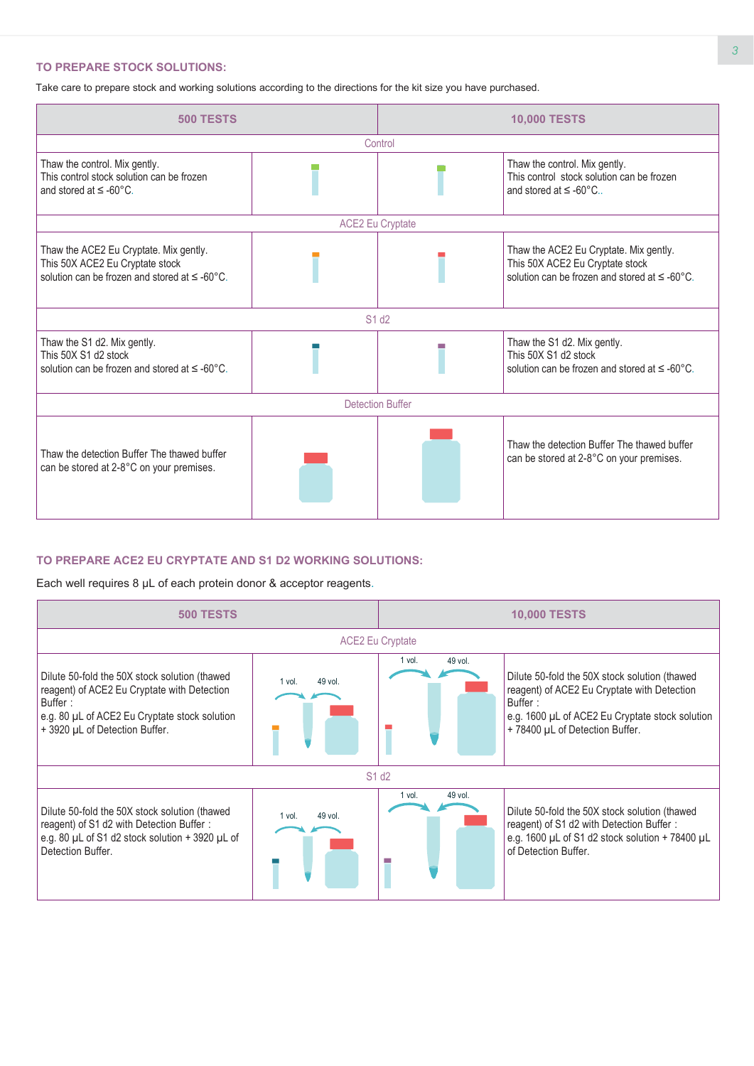#### **TO PREPARE STOCK SOLUTIONS:**

Take care to prepare stock and working solutions according to the directions for the kit size you have purchased.



#### **TO PREPARE ACE2 EU CRYPTATE AND S1 D2 WORKING SOLUTIONS:**

Each well requires 8 µL of each protein donor & acceptor reagents.

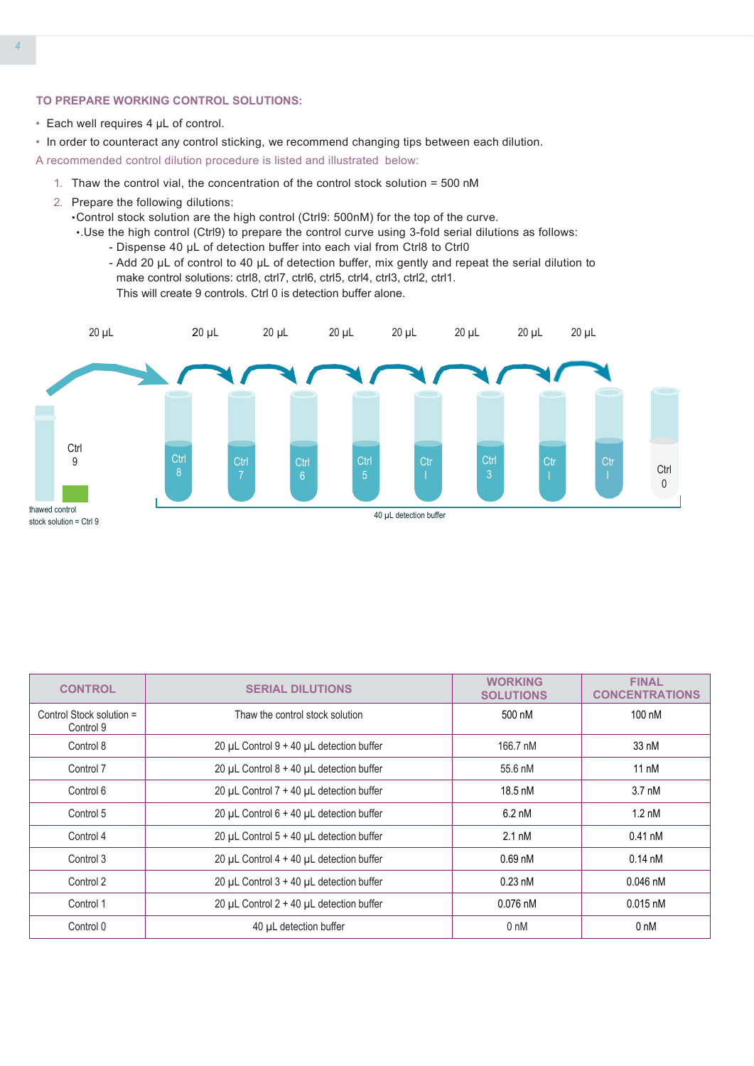#### **TO PREPARE WORKING CONTROL SOLUTIONS:**

- Each well requires 4 µL of control.
- In order to counteract any control sticking, we recommend changing tips between each dilution.

A recommended control dilution procedure is listed and illustrated below:

- 1. Thaw the control vial, the concentration of the control stock solution = 500 nM
- 2. Prepare the following dilutions:
	- •Control stock solution are the high control (Ctrl9: 500nM) for the top of the curve.
	- •.Use the high control (Ctrl9) to prepare the control curve using 3-fold serial dilutions as follows:
		- Dispense 40 µL of detection buffer into each vial from Ctrl8 to Ctrl0
		- Add 20 µL of control to 40 µL of detection buffer, mix gently and repeat the serial dilution to make control solutions: ctrl8, ctrl7, ctrl6, ctrl5, ctrl4, ctrl3, ctrl2, ctrl1. This will create 9 controls. Ctrl 0 is detection buffer alone.



| <b>CONTROL</b>                        | <b>SERIAL DILUTIONS</b>                    | <b>WORKING</b><br><b>SOLUTIONS</b> | <b>FINAL</b><br><b>CONCENTRATIONS</b> |  |
|---------------------------------------|--------------------------------------------|------------------------------------|---------------------------------------|--|
| Control Stock solution =<br>Control 9 | Thaw the control stock solution            |                                    | $100 \text{ nM}$                      |  |
| Control 8                             | 20 µL Control 9 + 40 µL detection buffer   | 166.7 nM                           | 33 nM                                 |  |
| Control 7                             | 20 µL Control $8 + 40$ µL detection buffer | 55.6 nM                            | $11 \text{ nM}$                       |  |
| Control 6                             | 20 µL Control 7 + 40 µL detection buffer   | 18.5 nM                            | $3.7 \text{ nM}$                      |  |
| Control 5                             | 20 µL Control $6 + 40$ µL detection buffer | $6.2 \text{ nM}$                   | $1.2 \text{ nM}$                      |  |
| Control 4                             | 20 µL Control 5 + 40 µL detection buffer   | $2.1 \text{ nM}$                   | $0.41$ nM                             |  |
| Control 3                             | 20 µL Control $4 + 40$ µL detection buffer | $0.69$ nM                          | $0.14 \text{ nM}$                     |  |
| Control 2                             | 20 µL Control $3 + 40$ µL detection buffer | $0.23 \text{ nM}$                  | $0.046$ nM                            |  |
| Control 1                             | 20 µL Control $2 + 40$ µL detection buffer | $0.076$ nM                         | $0.015$ nM                            |  |
| Control 0                             | 40 µL detection buffer                     | 0 <sub>nM</sub>                    | 0 nM                                  |  |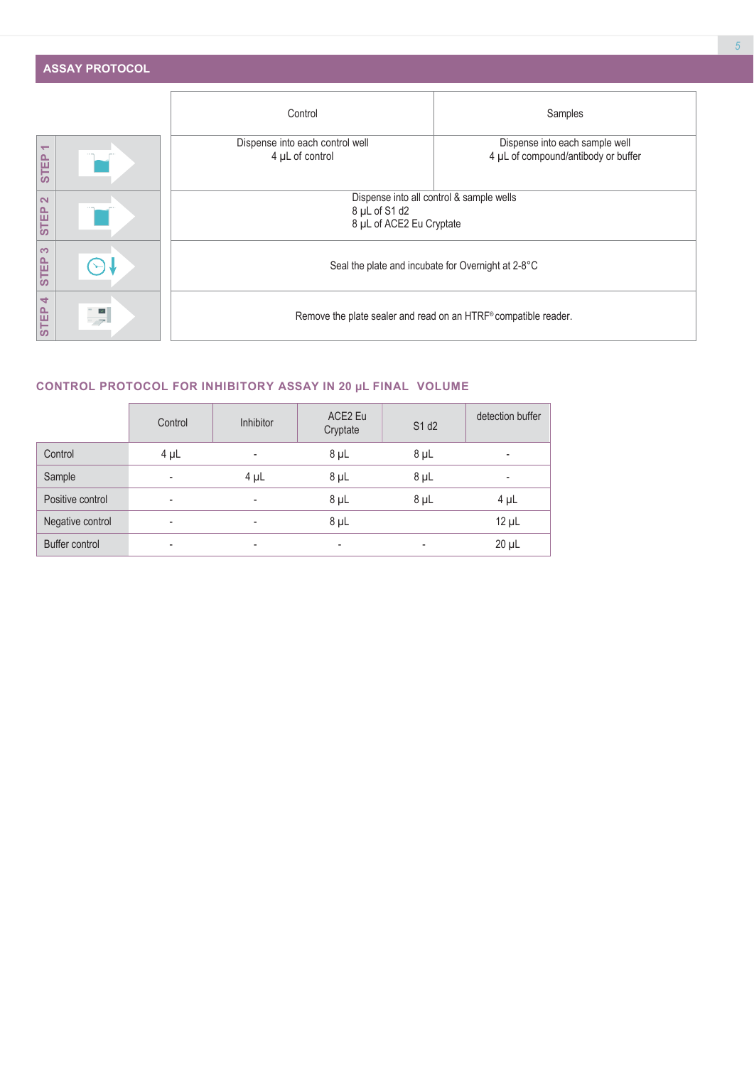| <b>ASSAY PROTOCOL</b> |
|-----------------------|
|-----------------------|

|                                         |              | Control                                                         | Samples                                                               |  |  |  |  |
|-----------------------------------------|--------------|-----------------------------------------------------------------|-----------------------------------------------------------------------|--|--|--|--|
| $\overline{\phantom{0}}$<br><b>STEP</b> |              | Dispense into each control well<br>4 µL of control              | Dispense into each sample well<br>4 µL of compound/antibody or buffer |  |  |  |  |
| $\overline{\mathbf{N}}$<br>STEP         |              | 8 µL of S1 d2                                                   | Dispense into all control & sample wells<br>8 µL of ACE2 Eu Cryptate  |  |  |  |  |
| $\infty$<br><b>STEP</b>                 |              |                                                                 | Seal the plate and incubate for Overnight at 2-8°C                    |  |  |  |  |
| $\overline{\phantom{a}}$<br>STEP        | $\checkmark$ | Remove the plate sealer and read on an HTRF® compatible reader. |                                                                       |  |  |  |  |

## **CONTROL PROTOCOL FOR INHIBITORY ASSAY IN 20 μL FINAL VOLUME**

|                  | Control                  | Inhibitor | ACE2 Eu<br>Cryptate      | S1 d2     | detection buffer         |
|------------------|--------------------------|-----------|--------------------------|-----------|--------------------------|
| Control          | $4 \mu L$                | -         | $8 \mu L$                | 8 µL      | $\overline{\phantom{a}}$ |
| Sample           | $\overline{\phantom{a}}$ | $4 \mu L$ | $8 \mu L$                | $8 \mu L$ | $\overline{\phantom{a}}$ |
| Positive control | ٠                        | ٠         | $8 \mu L$                | 8 µL      | $4 \mu L$                |
| Negative control | ٠                        | ٠         | $8 \mu L$                |           | $12 \mu L$               |
| Buffer control   | -                        | ٠         | $\overline{\phantom{a}}$ | -         | $20 \mu L$               |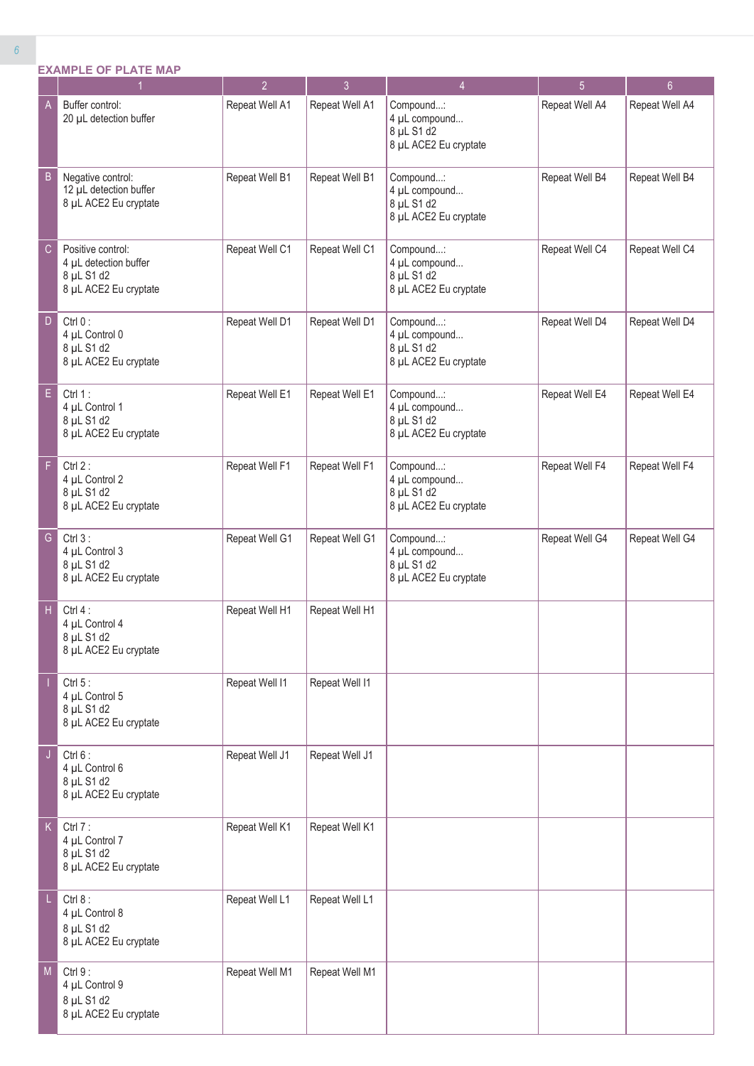|   | <b>EXAMPLE OF PLATE MAP</b>                                          | $\mathfrak{p}$        | 3                     | 4                                                                   | 5              | 6               |
|---|----------------------------------------------------------------------|-----------------------|-----------------------|---------------------------------------------------------------------|----------------|-----------------|
| Α | Buffer control:<br>20 µL detection buffer                            | Repeat Well A1        | Repeat Well A1        | Compound:<br>4 µL compound<br>$8$ µL S1 d2<br>8 µL ACE2 Eu cryptate | Repeat Well A4 | <b>Repeat W</b> |
| B | Negative control:<br>12 µL detection buffer<br>8 µL ACE2 Eu cryptate | Repeat Well B1        | Repeat Well B1        | Compound:<br>4 µL compound<br>8 µL S1 d2<br>8 µL ACE2 Eu cryptate   | Repeat Well B4 | <b>Repeat W</b> |
|   | Positive control:                                                    | <b>Reneat Well C1</b> | <b>Reneat Well C1</b> | Commonind                                                           | Ranast Wall CA | Renest W        |

| B           | Negative control:<br>12 µL detection buffer<br>8 µL ACE2 Eu cryptate              | Repeat Well B1 | Repeat Well B1 | Compound:<br>4 µL compound<br>8 µL S1 d2<br>8 µL ACE2 Eu cryptate | Repeat Well B4 | Repeat Well B4 |
|-------------|-----------------------------------------------------------------------------------|----------------|----------------|-------------------------------------------------------------------|----------------|----------------|
| C           | Positive control:<br>4 µL detection buffer<br>8 µL S1 d2<br>8 µL ACE2 Eu cryptate | Repeat Well C1 | Repeat Well C1 | Compound:<br>4 µL compound<br>8 µL S1 d2<br>8 µL ACE2 Eu cryptate | Repeat Well C4 | Repeat Well C4 |
| D           | Ctrl $0$ :<br>4 µL Control 0<br>8 µL S1 d2<br>8 µL ACE2 Eu cryptate               | Repeat Well D1 | Repeat Well D1 | Compound:<br>4 µL compound<br>8 µL S1 d2<br>8 µL ACE2 Eu cryptate | Repeat Well D4 | Repeat Well D4 |
| E.          | Ctrl 1:<br>4 µL Control 1<br>8 µL S1 d2<br>8 µL ACE2 Eu cryptate                  | Repeat Well E1 | Repeat Well E1 | Compound:<br>4 µL compound<br>8 µL S1 d2<br>8 µL ACE2 Eu cryptate | Repeat Well E4 | Repeat Well E4 |
| F           | Ctrl $2:$<br>4 µL Control 2<br>8 µL S1 d2<br>8 µL ACE2 Eu cryptate                | Repeat Well F1 | Repeat Well F1 | Compound:<br>4 µL compound<br>8 µL S1 d2<br>8 µL ACE2 Eu cryptate | Repeat Well F4 | Repeat Well F4 |
| G           | Ctrl $3:$<br>4 µL Control 3<br>8 µL S1 d2<br>8 µL ACE2 Eu cryptate                | Repeat Well G1 | Repeat Well G1 | Compound:<br>4 µL compound<br>8 µL S1 d2<br>8 µL ACE2 Eu cryptate | Repeat Well G4 | Repeat Well G4 |
| H           | Ctrl $4:$<br>4 µL Control 4<br>8 µL S1 d2<br>8 µL ACE2 Eu cryptate                | Repeat Well H1 | Repeat Well H1 |                                                                   |                |                |
|             | Ctrl $5:$<br>4 µL Control 5<br>8 µL S1 d2<br>8 µL ACE2 Eu cryptate                | Repeat Well I1 | Repeat Well I1 |                                                                   |                |                |
| J           | Ctrl $6:$<br>4 µL Control 6<br>8 µL S1 d2<br>8 µL ACE2 Eu cryptate                | Repeat Well J1 | Repeat Well J1 |                                                                   |                |                |
| $\mathsf K$ | Ctrl $7:$<br>4 µL Control 7<br>8 µL S1 d2<br>8 µL ACE2 Eu cryptate                | Repeat Well K1 | Repeat Well K1 |                                                                   |                |                |
|             | Ctrl $8:$<br>4 µL Control 8<br>8 µL S1 d2<br>8 µL ACE2 Eu cryptate                | Repeat Well L1 | Repeat Well L1 |                                                                   |                |                |
| M           | Ctrl 9:<br>4 µL Control 9<br>8 µL S1 d2<br>8 µL ACE2 Eu cryptate                  | Repeat Well M1 | Repeat Well M1 |                                                                   |                |                |

Repeat Well A4 | Repeat Well A4